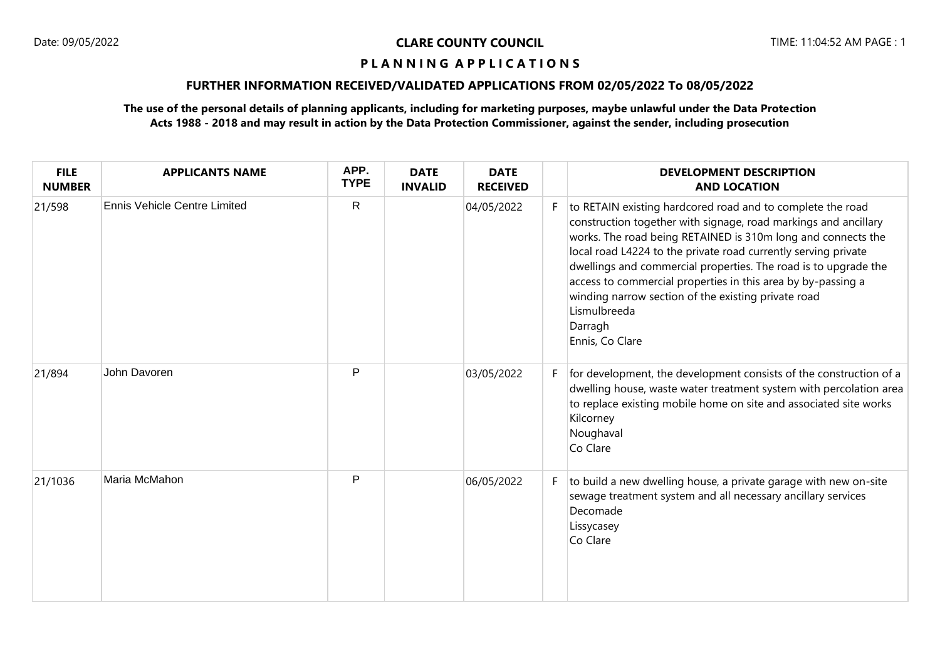### **P L A N N I N G A P P L I C A T I O N S**

## **FURTHER INFORMATION RECEIVED/VALIDATED APPLICATIONS FROM 02/05/2022 To 08/05/2022**

## **The use of the personal details of planning applicants, including for marketing purposes, maybe unlawful under the Data Protection Acts 1988 - 2018 and may result in action by the Data Protection Commissioner, against the sender, including prosecution**

| <b>FILE</b><br><b>NUMBER</b> | <b>APPLICANTS NAME</b>              | APP.<br><b>TYPE</b> | <b>DATE</b><br><b>INVALID</b> | <b>DATE</b><br><b>RECEIVED</b> |    | <b>DEVELOPMENT DESCRIPTION</b><br><b>AND LOCATION</b>                                                                                                                                                                                                                                                                                                                                                                                                                                                   |
|------------------------------|-------------------------------------|---------------------|-------------------------------|--------------------------------|----|---------------------------------------------------------------------------------------------------------------------------------------------------------------------------------------------------------------------------------------------------------------------------------------------------------------------------------------------------------------------------------------------------------------------------------------------------------------------------------------------------------|
| 21/598                       | <b>Ennis Vehicle Centre Limited</b> | $\mathsf{R}$        |                               | 04/05/2022                     |    | to RETAIN existing hardcored road and to complete the road<br>construction together with signage, road markings and ancillary<br>works. The road being RETAINED is 310m long and connects the<br>local road L4224 to the private road currently serving private<br>dwellings and commercial properties. The road is to upgrade the<br>access to commercial properties in this area by by-passing a<br>winding narrow section of the existing private road<br>Lismulbreeda<br>Darragh<br>Ennis, Co Clare |
| 21/894                       | John Davoren                        | P                   |                               | 03/05/2022                     |    | for development, the development consists of the construction of a<br>dwelling house, waste water treatment system with percolation area<br>to replace existing mobile home on site and associated site works<br>Kilcorney<br>Noughaval<br>Co Clare                                                                                                                                                                                                                                                     |
| 21/1036                      | Maria McMahon                       | P                   |                               | 06/05/2022                     | F. | to build a new dwelling house, a private garage with new on-site<br>sewage treatment system and all necessary ancillary services<br>Decomade<br>Lissycasey<br>Co Clare                                                                                                                                                                                                                                                                                                                                  |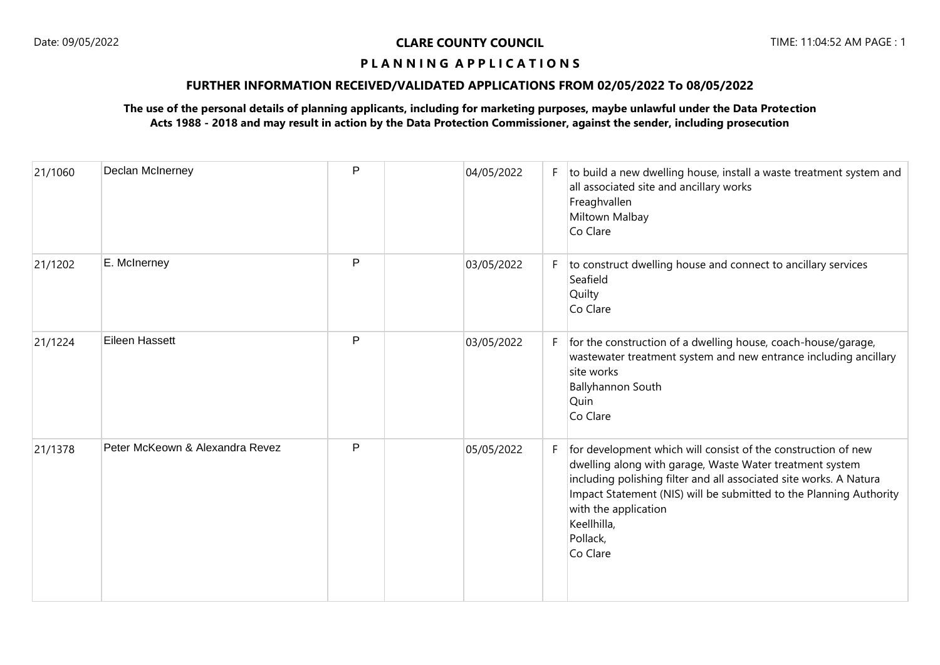## **P L A N N I N G A P P L I C A T I O N S**

## **FURTHER INFORMATION RECEIVED/VALIDATED APPLICATIONS FROM 02/05/2022 To 08/05/2022**

## **The use of the personal details of planning applicants, including for marketing purposes, maybe unlawful under the Data Protection Acts 1988 - 2018 and may result in action by the Data Protection Commissioner, against the sender, including prosecution**

| 21/1060 | Declan McInerney                | $\mathsf{P}$ | 04/05/2022 |    | $F$ to build a new dwelling house, install a waste treatment system and<br>all associated site and ancillary works<br>Freaghvallen<br>Miltown Malbay<br>Co Clare                                                                                                                                                                     |
|---------|---------------------------------|--------------|------------|----|--------------------------------------------------------------------------------------------------------------------------------------------------------------------------------------------------------------------------------------------------------------------------------------------------------------------------------------|
| 21/1202 | E. McInerney                    | P            | 03/05/2022 | F. | to construct dwelling house and connect to ancillary services<br>Seafield<br>Quilty<br>Co Clare                                                                                                                                                                                                                                      |
| 21/1224 | Eileen Hassett                  | P            | 03/05/2022 |    | $F$ for the construction of a dwelling house, coach-house/garage,<br>wastewater treatment system and new entrance including ancillary<br>site works<br><b>Ballyhannon South</b><br>Quin<br>Co Clare                                                                                                                                  |
| 21/1378 | Peter McKeown & Alexandra Revez | P            | 05/05/2022 | F. | for development which will consist of the construction of new<br>dwelling along with garage, Waste Water treatment system<br>including polishing filter and all associated site works. A Natura<br>Impact Statement (NIS) will be submitted to the Planning Authority<br>with the application<br>Keellhilla,<br>Pollack,<br>Co Clare |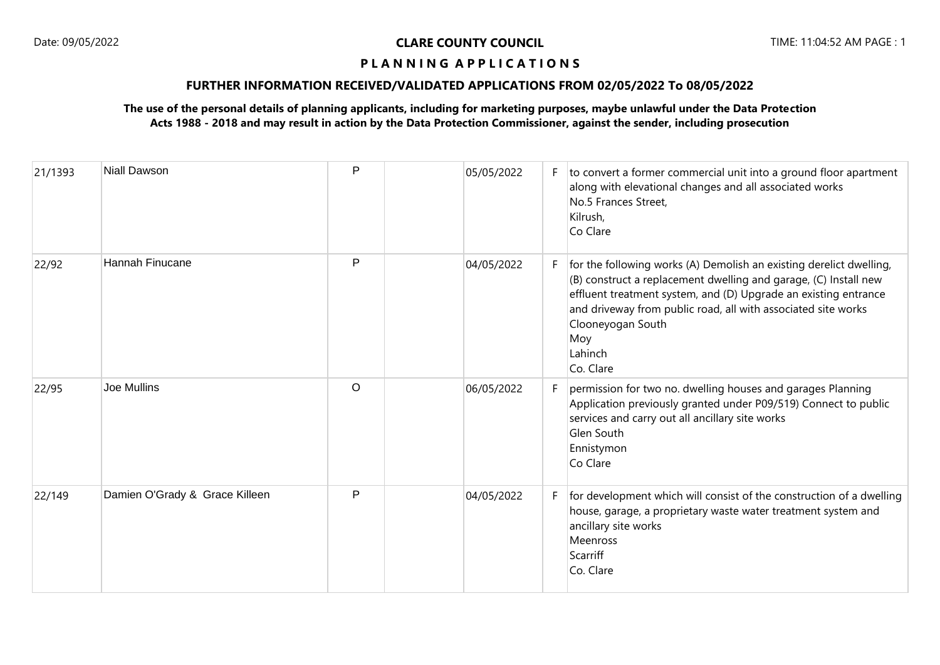## **P L A N N I N G A P P L I C A T I O N S**

## **FURTHER INFORMATION RECEIVED/VALIDATED APPLICATIONS FROM 02/05/2022 To 08/05/2022**

## **The use of the personal details of planning applicants, including for marketing purposes, maybe unlawful under the Data Protection Acts 1988 - 2018 and may result in action by the Data Protection Commissioner, against the sender, including prosecution**

| 21/1393 | <b>Niall Dawson</b>            | P       | 05/05/2022 |    | $F$ to convert a former commercial unit into a ground floor apartment<br>along with elevational changes and all associated works<br>No.5 Frances Street,<br>Kilrush,<br>Co Clare                                                                                                                                                |
|---------|--------------------------------|---------|------------|----|---------------------------------------------------------------------------------------------------------------------------------------------------------------------------------------------------------------------------------------------------------------------------------------------------------------------------------|
| 22/92   | Hannah Finucane                | P       | 04/05/2022 | F. | for the following works (A) Demolish an existing derelict dwelling,<br>(B) construct a replacement dwelling and garage, (C) Install new<br>effluent treatment system, and (D) Upgrade an existing entrance<br>and driveway from public road, all with associated site works<br>Clooneyogan South<br>Moy<br>Lahinch<br>Co. Clare |
| 22/95   | <b>Joe Mullins</b>             | $\circ$ | 06/05/2022 | F  | permission for two no. dwelling houses and garages Planning<br>Application previously granted under P09/519) Connect to public<br>services and carry out all ancillary site works<br>Glen South<br>Ennistymon<br>Co Clare                                                                                                       |
| 22/149  | Damien O'Grady & Grace Killeen | P       | 04/05/2022 | F. | for development which will consist of the construction of a dwelling<br>house, garage, a proprietary waste water treatment system and<br>ancillary site works<br>Meenross<br>Scarriff<br>Co. Clare                                                                                                                              |